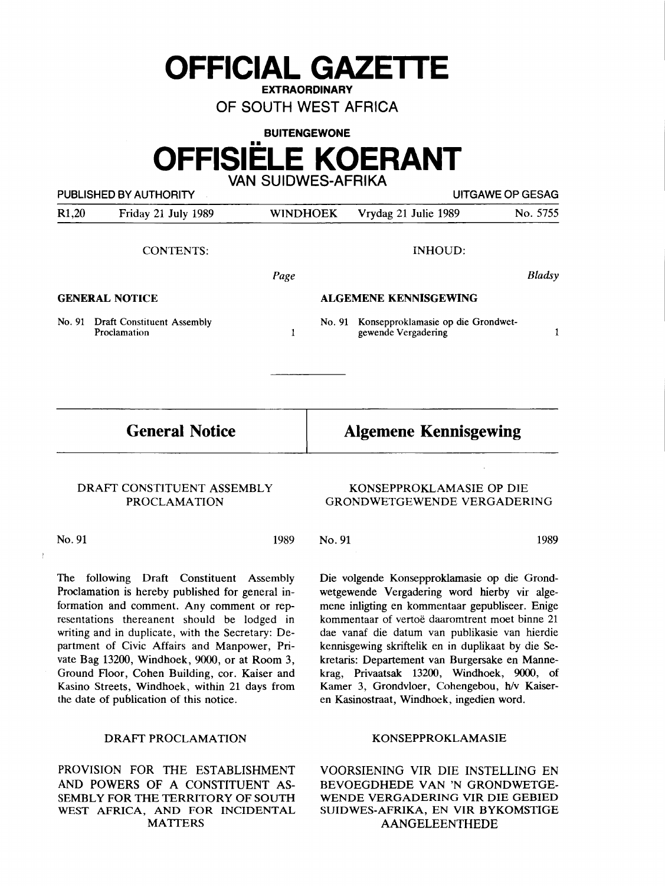**OFFICIAL GAZETTE** 

**EXTRAORDINARY** 

OF SOUTH WEST AFRICA

# **BUITENGEWONE OFFISIELE KOERANT**  VAN SUIDWES-AFRIKA

|                       | PUBLISHED BY AUTHORITY                            |                              |                                                           | UITGAWE OP GESAG |
|-----------------------|---------------------------------------------------|------------------------------|-----------------------------------------------------------|------------------|
| R1,20                 | Friday 21 July 1989                               | <b>WINDHOEK</b>              | Vrydag 21 Julie 1989                                      | No. 5755         |
|                       | <b>CONTENTS:</b>                                  |                              | <b>INHOUD:</b>                                            |                  |
|                       |                                                   | Page                         |                                                           | <b>Bladsy</b>    |
| <b>GENERAL NOTICE</b> |                                                   | <b>ALGEMENE KENNISGEWING</b> |                                                           |                  |
| No. 91                | <b>Draft Constituent Assembly</b><br>Proclamation | No. 91<br>1                  | Konsepproklamasie op die Grondwet-<br>gewende Vergadering | 1                |
|                       |                                                   |                              |                                                           |                  |
| <b>General Notice</b> |                                                   |                              | <b>Algemene Kennisgewing</b>                              |                  |

1989

# **DRAFT CONSTITUENT ASSEMBLY PROCLAMATION**

No.91

The following Draft Constituent Assembly Proclamation is hereby published for general information and comment. Any comment or representations thereanent should be lodged in writing and in duplicate, with the Secretary: Department of Civic Affairs and Manpower, Private Bag 13200, Windhoek, 9000, or at Room 3, Ground Floor, Cohen Building, cor. Kaiser and Kasino Streets, Windhoek, within 21 days from the date of publication of this notice.

# DRAFT PROCLAMATION

PROVISION FOR THE ESTABLISHMENT AND POWERS OF A CONSTITUENT AS-SEMBLY FOR THE **TERRITORY** OF SOUTH **WEST AFRICA, AND FOR INCIDENTAL MATTERS** 

# **KONSEPPROKLAMASIE OP** DIE **GRONDWETGEWENDE VERGADERING**

No. 91 1989

Die volgende Konsepproklamasie op die Grondwetgewende Vergadering word hierby vir algemene inligting en kommentaar gepubliseer. Enige kommentaar of vertoe daaromtrent moet binne 21 dae vanaf die datum van publikasie van hierdie kennisgewing skriftelik en in duplikaat by die Sekretaris: Departement van Burgersake en Mannekrag, Privaatsak 13200, Windhoek, 9000, of Kamer 3, Grondvloer, Cohengebou, h/v Kaiseren Kasinostraat, Windhoek, ingedien word.

## KONSEPPROKLAMASIE

VOORSIENING VIR DIE INSTELLING EN BEVOEGDHEDE VAN 'N GRONDWETGE-WENDE VERGADERING VIR DIE GEBIED SUIDWES-AFRIKA, EN VIR BYKOMSTIGE AANGELEENTHEDE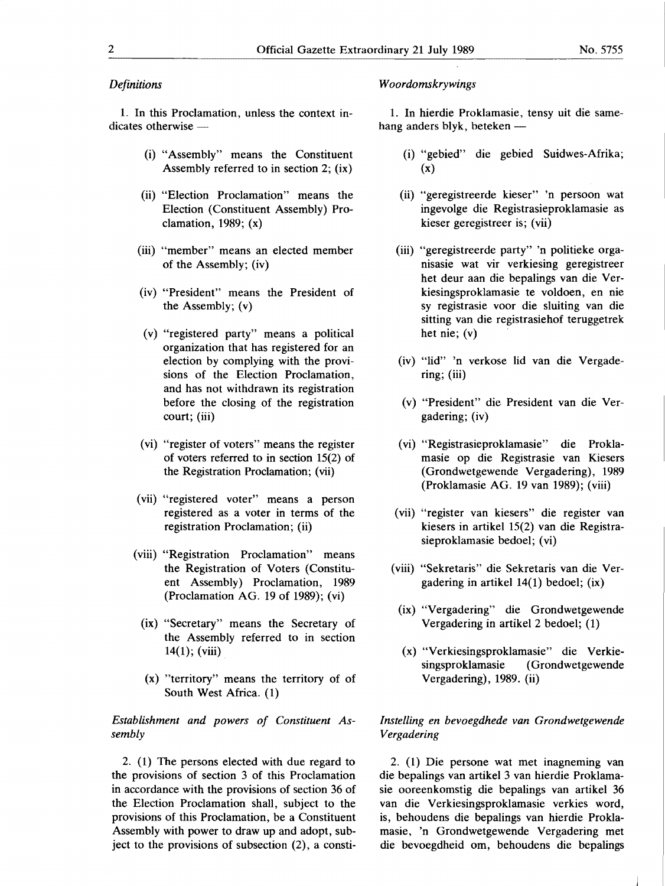# *Definitions*

1. In this Proclamation, unless the context in $dicates otherwise -$ 

- (i) "Assembly" means the Constituent Assembly referred to in section 2; **(ix)**
- (ii) "Election Proclamation" means the Election (Constituent Assembly) Proclamation, 1989; (x)
- (iii) "member" means an elected member of the Assembly; (iv)
- (iv) "President" means the President of the Assembly; (v)
- (v) "registered party" means a political organization that has registered for an election by complying with the provisions of the Election Proclamation, and has not withdrawn its registration before the closing of the registration court; (iii)
- (vi) "register of voters" means the register of voters referred to in section 15(2) of the Registration Proclamation; (vii)
- (vii) "registered voter" means a person registered as a voter in terms of the registration Proclamation; (ii)
- (viii) "Registration Proclamation" means the Registration of Voters (Constituent Assembly) Proclamation, 1989 (Proclamation AG. 19 of 1989); (vi)
	- **(ix)** "Secretary" means the Secretary of the Assembly referred to in section  $14(1)$ ; (viii)
	- (x) "territory" means the territory of of South West Africa. (1)

*Establishment and powers of Constituent Assembly* 

2. (1) The persons elected with due regard to the provisions of section 3 of this Proclamation in accordance with the provisions of section 36 of the Election Proclamation shall, subject to the provisions of this Proclamation, be a Constituent Assembly with power to draw up and adopt, subject to the provisions of subsection (2), a consti-

## *Woordomskrywings*

1. In hierdie Proklamasie, tensy uit die samehang anders blyk, beteken  $-$ 

- (i) "gebied" die gebied Suidwes-Afrika; (x)
- (ii) "geregistreerde kieser" 'n persoon wat ingevolge die Registrasieproklamasie as kieser geregistreer is; (vii)
- (iii) "geregistreerde party" 'n politieke organisasie wat vir verkiesing geregistreer het deur aan die bepalings van die Verkiesingsproklamasie te voldoen, en nie sy registrasie voor die sluiting van die sitting van die registrasiehof teruggetrek het nie;  $(v)$
- (iv) "lid" 'n verkose lid van die Vergadering; (iii)
- (v) "President" die President van die Vergadering; (iv)
- (vi) "Registrasieproklamasie" die Proklamasie op die Registrasie van Kiesers (Grondwetgewende Vergadering), 1989 (Proklamasie AG. 19 van 1989); (viii)
- (vii) "register van kiesers" die register van kiesers in artikel 15(2) van die Registrasieproklamasie bedoel; (vi)
- (viii) "Sekretaris" die Sekretaris van die Vergadering in artikel 14(1) bedoel; (ix)
	- **(ix)** "Vergadering" die Grondwetgewende Vergadering in artikel 2 bedoel; (1)
	- (x) "Verkiesingsproklamasie" die Verkiesingsproklamasie ( Grondwetgewende Vergadering), 1989. (ii)

# *lnstelling en bevoegdhede van Grondwetgewende Vergadering*

2. (1) Die persone wat met inagneming van die bepalings van artikel 3 van hierdie Proklamasie ooreenkomstig die bepalings van artikel 36 van die Verkiesingsproklamasie verkies word, is, behoudens die bepalings van hierdie Proklamasie, 'n Grondwetgewende Vergadering met die bevoegdheid om, behoudens die bepalings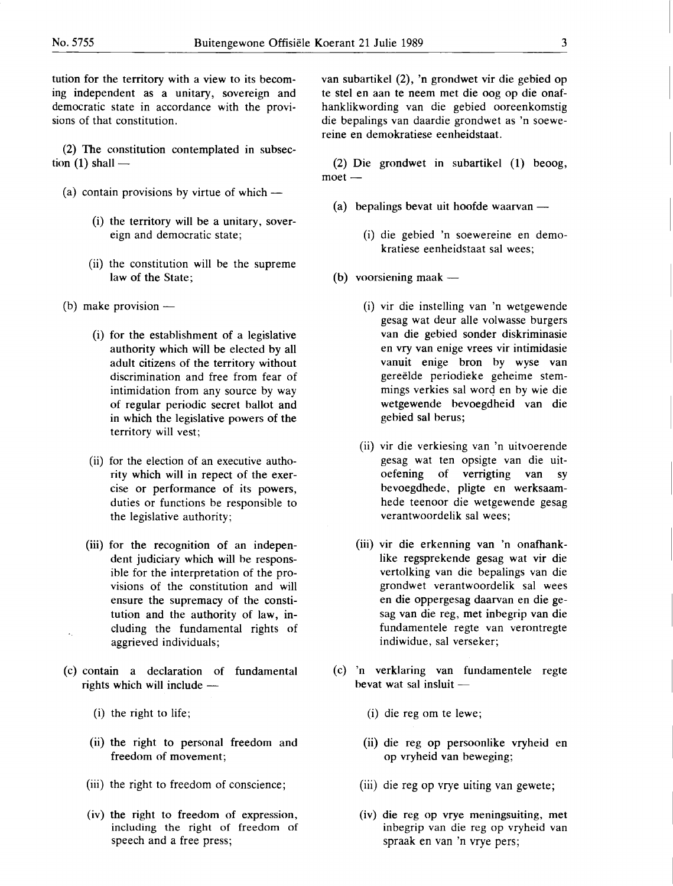tution for the territory with a view to its becoming independent as a unitary, sovereign and democratic state in accordance with the provisions of that constitution.

(2) The constitution contemplated in subsection  $(1)$  shall —

- (a) contain provisions by virtue of which  $-$ 
	- (i) the territory will be a unitary, sovereign and democratic state;
	- (ii) the constitution will be the supreme law of the State;
- (b) make provision  $-$ 
	- (i) for the establishment of a legislative authority which will be elected by all adult citizens of the territory without discrimination and free from fear of intimidation from any source by way of regular periodic secret ballot and in which the legislative powers of the territory will vest;
	- (ii) for the election of an executive authority which will in repect of the exercise or performance of its powers, duties or functions be responsible to the legislative authority;
	- (iii) for the recognition of an independent judiciary which will be responsible for the interpretation of the provisions of the constitution and will ensure the supremacy of the constitution and the authority of law, including the fundamental rights of aggrieved individuals;
- (c) contain a declaration of fundamental rights which will include -
	- (i) the right to life;
	- (ii) the right to personal freedom and freedom of movement;
	- (iii) the right to freedom of conscience;
	- (iv) the right to freedom of expression, including the right of freedom of speech and a free press;

van subartikel (2), 'n grondwet vir die gebied op te stel en aan te neem met die oog op die onafhanklikwording van die gebied ooreenkomstig die bepalings van daardie grondwet as 'n soewereine en demokratiese eenheidstaat.

(2) Die grondwet in subartikel (1) beoog,  $meet -$ 

- (a) bepalings bevat uit hoofde waarvan  $-$ 
	- (i) die gebied 'n soewereine en demokratiese eenheidstaat sal wees;
- (b) voorsiening maak  $-$ 
	- (i) vir die instelling van 'n wetgewende gesag wat deur alle volwasse burgers van die gebied sonder diskriminasie en vry van enige vrees vir intimidasie vanuit enige bron by wyse van gereëlde periodieke geheime stemmings verkies sal word en by wie die wetgewende bevoegdheid van die gebied sal berus;
	- (ii) vir die verkiesing van 'n uitvoerende gesag wat ten opsigte van die uitoefening of verrigting van sy bevoegdhede, pligte en werksaamhede teenoor die wetgewende gesag verantwoordelik sal wees;
	- (iii) vir die erkenning van 'n onafhanklike regsprekende gesag wat vir die vertolking van die bepalings van die **grondwet verantwoordelik sal wees**  en die oppergesag daarvan en die gesag van die reg, met inbegrip van die fundamentele **regte van verontregte indiwidue,** sal **verseker;**
- (c) 'n verklaring van fundamentele regte bevat wat sal insluit  $-$ 
	- (i) die reg om te lewe;
	- (ii) die reg op persoonlike vryheid en op vryheid van beweging;
	- (iii) die reg op vrye uiting van gewete;
	- (iv) die reg op vrye meningsuiting, met inbegrip van die reg op vryheid van spraak en van 'n vrye pers;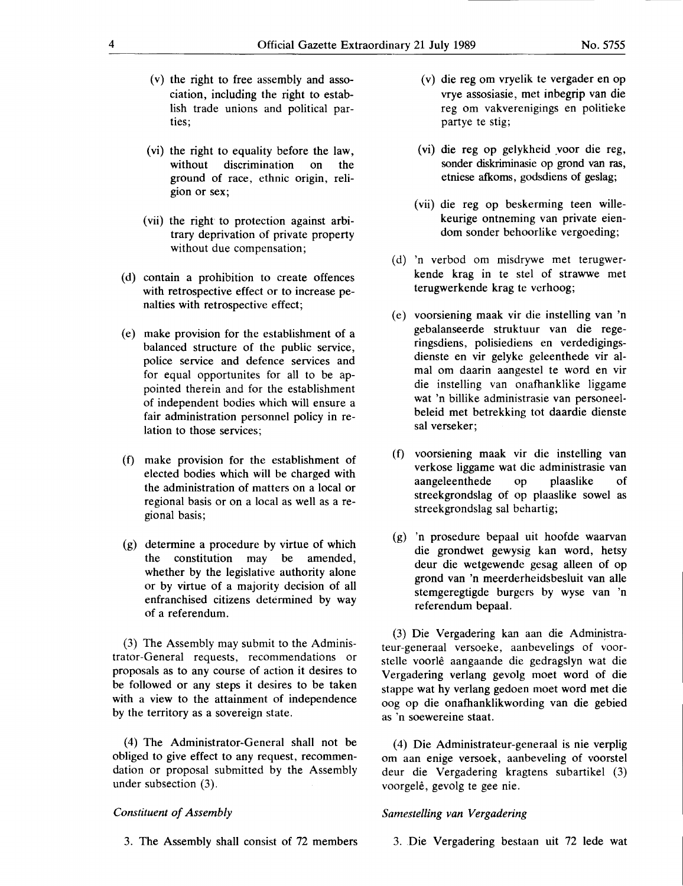- (v) the right to free assembly and association, including the right to establish trade unions and political parties;
- (vi) the right to equality before the law, without discrimination on the ground of race, ethnic origin, religion or sex;
- (vii) the right to protection against arbitrary deprivation of private property without due compensation;
- (d) contain a prohibition to create offences with retrospective effect or to increase penalties with retrospective effect;
- ( e) make provision for the establishment of a balanced structure of the public service, police service and defence services and for equal opportunites for all to be appointed therein and for the establishment of independent bodies which will ensure a fair administration personnel policy in relation to those services;
- (f) make provision for the establishment of elected bodies which will be charged with the administration of matters on a local or regional basis or on a local as well as a regional basis;
- (g) determine a procedure by virtue of which the constitution may be amended, whether by the legislative authority alone or by virtue of a majority decision of all enfranchised citizens determined by way of a referendum.

(3) The Assembly may submit to the Administrator-General requests, recommendations or proposals as to any course of action it desires to be followed or any steps it desires to be taken with a view to the attainment of independence by the territory as a sovereign state.

(4) The Administrator-General shall not be obliged to give effect to any request, recommendation or proposal submitted by the Assembly under subsection (3).

## *Constituent of Assembly*

- ( v) die reg om vryelik te vergader en op vrye assosiasie, met inbegrip van die reg om vakverenigings en politieke partye te stig;
- (vi) die reg op gelykheid \_voor die reg, sonder diskriminasie op grond van ras, etniese afkoms, godsdiens of geslag;
- (vii) die reg op beskerming teen willekeurige ontneming van private eiendom sonder behoorlike vergoeding;
- ( d) 'n verbod om misdrywe met terugwerkende krag in te stel of strawwe met terugwerkende krag te verhoog;
- ( e) voorsiening maak vir die instelling van 'n gebalanseerde struktuur van die regeringsdiens, polisiediens en verdedigingsdienste en vir gelyke geleenthede vir almal om daarin aangestel te word en vir die instelling van onafhanklike liggame wat 'n billike administrasie van personeelbeleid met betrekking tot daardie dienste sal verseker;
- (f) voorsiening maak vir die instelling van verkose liggame wat die administrasie van aangeleenthede op plaaslike of streekgrondslag of op plaaslike sowel as streekgrondslag sal behartig;
- (g) 'n prosedure bepaal uit hoofde waarvan die grondwet gewysig kan word, hetsy deur die wetgewende gesag alleen of op grond van 'n meerderheidsbesluit van alle stemgeregtigde burgers by **wyse** van 'n referendum bepaal.

(3) Die Vergadering kan aan die Administrateur-generaal versoeke, aanbevelings of voorstelle voorle aangaande die gedragslyn wat die Vergadering verlang gevolg moet word of die stappe wat hy verlang gedoen moet word met die oog op die onafhanklikwording van die gebied as 'n soewereine staat.

(4) Die Administrateur-generaal is nie verplig om aan enige versoek, aanbeveling of voorstel deur die Vergadering kragtens subartikel (3) voorgelê, gevolg te gee nie.

## *Samestelling van Vergadering*

3. The Assembly shall consist of 72 members

3. Die Vergadering bestaan uit 72 lede wat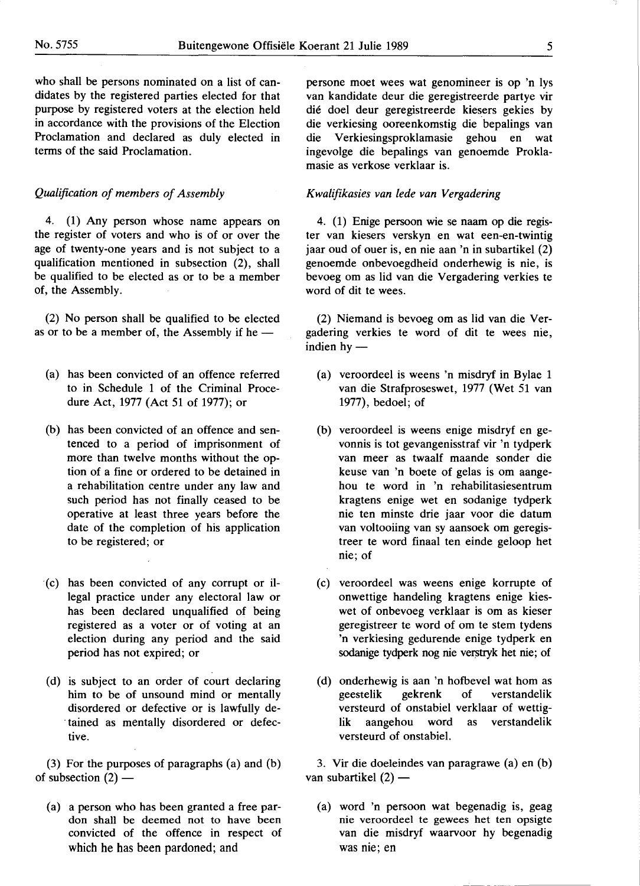who shall be persons nominated on a list of candidates by the registered parties elected for that purpose by registered voters at the election held in accordance with the provisions of the Election Proclamation and declared as duly elected in terms of the said Proclamation.

## *Qualification of members of Assembly*

4. (1) Any person whose name appears on the register of voters and who is of or over the age of twenty-one years and is not subject to a qualification mentioned in subsection (2), shall be qualified to be elected as or to be a member of, the Assembly.

(2) No person shall be qualified to be elected as or to be a member of, the Assembly if he --

- (a) has been convicted of an offence referred to in Schedule 1 of the Criminal Procedure Act, 1977 (Act 51 of 1977); or
- (b) has been convicted of an offence and sentenced to a period of imprisonment of more than twelve months without the option of a fine or ordered to be detained in a rehabilitation centre under any law and such period has not finally ceased to be operative at least three years before the date of the completion of his application to be registered; or
- (c) has been convicted of any corrupt or illegal practice under any electoral law or has been declared unqualified of being registered as a voter or of voting at an election during any period and the said period has not expired; or
- ( d) is subject to an order of court declaring him to be of unsound mind or mentally disordered or defective or is lawfully de- . tained as mentally disordered or defective.

(3) For the purposes of paragraphs (a) and (b) of subsection  $(2)$  —

(a) a person who has been granted a free pardon shall be deemed not to have been convicted of the offence in respect of which he has been pardoned; and

persone moet wees wat genomineer is op 'n lys van kandidate deur die geregistreerde partye vir die doel deur geregistreerde kiesers gekies by die verkiesing ooreenkomstig die bepalings van die Verkiesingsproklamasie gehou en wat ingevolge die bepalings van genoemde Proklamasie as verkose verklaar is.

## *K walifikasies van lede van Vergadering*

4. (1) Enige persoon wie se naam op die register van kiesers verskyn en wat een-en-twintig jaar oud of ouer is, en nie aan 'n in subartikel (2) genoemde onbevoegdheid onderhewig is nie, is bevoeg om as lid van die Vergadering verkies te word of dit te wees.

(2) Niemand is bevoeg om as lid van die Vergadering verkies te word of dit te wees nie, indien  $hy$  —

- (a) veroordeel is weens 'n misdryf in Bylae 1 van die Strafproseswet, 1977 (Wet 51 van 1977), bedoel; of
- (b) veroordeel is weens enige misdryf en gevonnis is tot gevangenisstraf vir 'n tydperk van meer as twaalf maande sonder die keuse van 'n boete of gelas is om aangehou te word in 'n rehabilitasiesentrum kragtens enige wet en sodanige tydperk nie ten minste drie jaar voor die datum van voltooiing van sy aansoek om geregistreer te word finaal ten einde geloop bet nie; of
- ( c) veroordeel was weens enige korrupte of onwettige handeling kragtens enige kieswet of onbevoeg verklaar is om as kieser geregistreer te word of om te stem tydens 'n verkiesing gedurende enige tydperk en sodanige tydperk nog nie verstryk het nie; of
- (d) onderhewig is aan 'n hofbevel wat hom as geestelik gekrenk of verstandelik versteurd of onstabiel verklaar of wettiglik aangehou word as verstandelik versteurd of onstabiel.

3. Vir die doeleindes van paragrawe (a) en (b) van subartikel  $(2)$  —

(a) word 'n persoon wat begenadig is, geag nie veroordeel te gewees het ten opsigte van die misdryf waarvoor hy begenadig was nie; en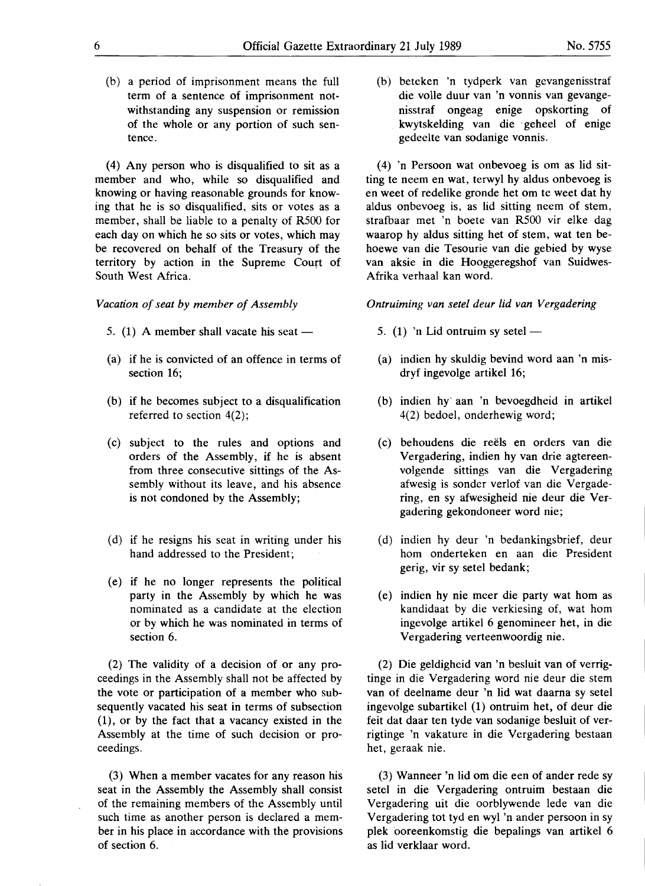(b) a period of imprisonment means the full term of a sentence of imprisonment notwithstanding any suspension or remission of the whole or any portion of such sentence.

(4) Any person who is disqualified to sit as a member and who, while so disqualified and knowing or having reasonable grounds for knowing that he is so disqualified, sits or votes as a member, shall be liable to a penalty of R500 for each day on which he so sits or votes, which may be recovered on behalf of the Treasury of the territory by action in the Supreme Court of South West Africa.

*Vacation of seat by member of Assembly* 

- 5. (1) A member shall vacate his seat  $-$
- (a) if he is convicted of an offence in terms of section 16;
- (b) if he becomes subject to a disqualification referred to section 4(2);
- (c) subject to the rules and options and orders of the Assembly, if he is absent from three consecutive sittings of the Assembly without its leave, and his absence is not condoned by the Assembly;
- ( d) if he resigns his seat in writing under his hand addressed to the President;
- (e) if he no longer represents the political party in the Assembly by which he was nominated as a candidate at the election or by which he was nominated in terms of section 6.

(2) The validity of a decision of or any proceedings in the Assembly shall not be affected by the vote or participation of a member who subsequently vacated his seat in terms of subsection (1), or by the fact that a vacancy existed in the Assembly at the time of such decision or proceedings.

(3) When a member vacates for any reason his seat in the Assembly the Assembly shall consist of the remaining members of the Assembly until such time as another person is declared a member in his place in accordance with the provisions of section 6.

(b) beteken 'n tydperk van gevangenisstraf die volle duur van 'n vonnis van gevangenisstraf ongeag enige opskorting of kwytskelding van die · geheel of enige gedeelte van sodanige vonnis.

(4) 'n Persoon wat onbevoeg is om as lid sitting te neem en wat, terwyl hy aldus onbevoeg is en weet of redelike gronde bet om te weet dat hy aldus onbevoeg is, as lid sitting neem of stem, strafbaar met 'n boete van R500 vir elke dag waarop hy aldus sitting bet of stem, wat ten behoewe van die Tesourie van die gebied by wyse van aksie in die Hooggeregshof van Suidwes-Afrika verhaal kan word.

*Ontruiming van setel deur lid van Vergadering* 

- 5. (1) 'n Lid ontruim sy setel  $-$
- (a) indien hy skuldig bevind word aan 'n misdryf ingevolge artikel 16;
- (b) indien hy' aan 'n bevoegdheid in artikel 4(2) bedoel, onderhewig word;
- ( c) behoudens die reels en orders van die Vergadering, indien hy van drie agtereenvolgende sittings van die Vergadering afwesig is sonder verlof van die Vergadering, en sy afwesigheid nie deur die Vergadering gekondoneer word nie;
- (d) indien hy deur 'n bedankingsbrief, deur horn onderteken en aan die President gerig, vir sy setel bedank;
- ( e) indien hy nie meer die party wat horn as kandidaat by die verkiesing of, wat horn ingevolge artikel 6 genomineer bet, in die Vergadering verteenwoordig nie.

(2) Die geldigheid van 'n besluit van of verrigtinge in die Vergadering word nie deur die stem van of deelname deur 'n lid wat daarna· sy setel ingevolge subartikel (1) ontruim bet, of deur die feit dat daar ten tyde van sodanige besluit of verrigtinge 'n vakature in die Vergadering bestaan bet, geraak nie.

(3) Wanneer 'n lid om die een of ander rede sy setel in die Vergadering ontruim bestaan die Vergadering uit die oorblywende lede van die Vergadering tot tyd en wyl 'n ander persoon in sy plek ooreenkomstig die bepalings van artikel 6 as lid verklaar word.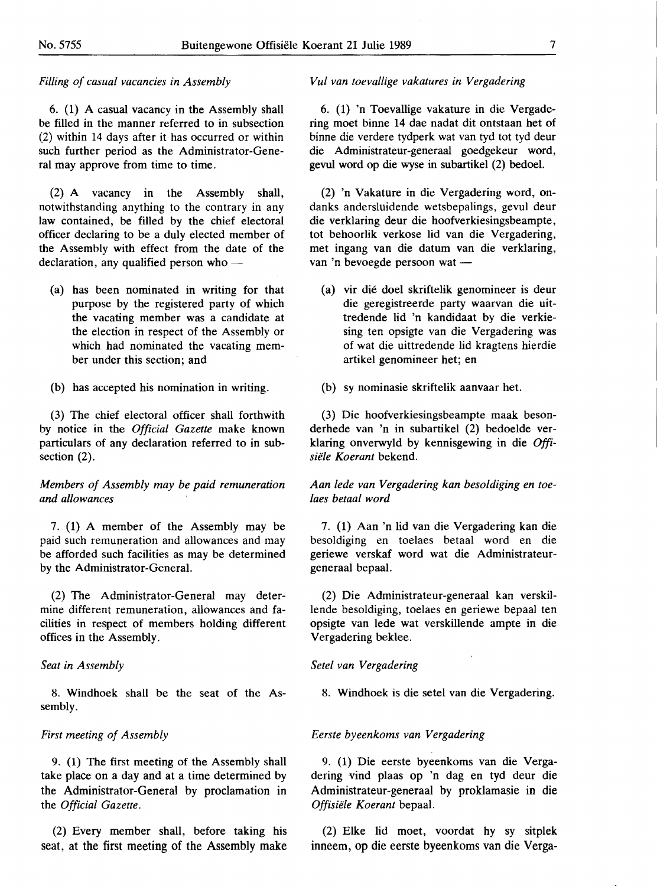## *Filling of casual vacancies in Assembly*

6. (1) A casual vacancy in the Assembly shall be filled in the manner referred to in subsection (2) within 14 days after it has occurred or within such further period as the Administrator-General may approve from time to time.

(2) A vacancy in the Assembly shall, notwithstanding anything to the contrary in any law contained, be filled by the chief electoral officer declaring to be a duly elected member of the Assembly with effect from the date of the declaration, any qualified person who  $-$ 

(a) has been nominated in writing for that purpose by the registered party of which the vacating member was a candidate at the election in respect of the Assembly or which had nominated the vacating member under this section; and

(b) has accepted his nomination in writing.

(3) The chief electoral officer shall forthwith by notice in the *Official Gazette* make known particulars of any declaration referred to in subsection (2).

# *Members of Assembly may be paid remuneration and allowances*

7. (1) A member of the Assembly may be paid such remuneration and allowances and may be afforded such facilities as may be determined by the Administrator-General.

(2) The Administrator-General may determine different remuneration, allowances and facilities in respect of members holding different offices in the Assembly.

## *Seat in Assembly*

8. Windhoek shall be the seat of the Assembly.

## *First meeting of Assembly*

9. (1) The first meeting of the Assembly shall take place on a day and at a time determined by the Administrator-General by proclamation in the *Official Gazette.* 

(2) Every member shall, before taking his seat, at the first meeting of the Assembly make

## *Vu/ van toevallige vakatures in Vergadering*

6. (1) 'n Toevallige vakature in die Vergadering moet binne 14 dae nadat dit ontstaan bet of binne die verdere tydperk wat van tyd tot tyd deur die Administrateur-generaal goedgekeur word, gevul word op die wyse in subartikel (2) bedoel.

(2) 'n Vakature in die Vergadering word, ondanks andersluidende wetsbepalings, gevul deur die verklaring deur die hoofverkiesingsbeampte, tot behoorlik verkose lid van die Vergadering, met ingang van die datum van die verklaring, van 'n bevoegde persoon wat -

(a) vir die doel skriftelik genomineer is deur die geregistreerde party waarvan die uittredende lid 'n kandidaat by die verkiesing ten opsigte van die Vergadering was of wat die uittredende lid kragtens hierdie artikel genomineer bet; en

(b) sy nominasie skriftelik aanvaar bet.

(3) Die hoofverkiesingsbeampte maak beson-. derhede van 'n in subartikel (2) bedoelde verklaring onverwyld by kennisgewing in die *Offisiele Koerant* bekend.

*Aan lede van Vergadering kan besoldiging en toelaes betaal word* 

7. (1) Aan 'n lid van die Vergadering kan die besoldiging en toelaes betaal word en die geriewe verskaf word wat die Administrateurgeneraal bepaal.

(2) Die Administrateur-generaal kan verskillende besoldiging, toelaes en geriewe bepaal ten opsigte van lede wat verskillende ampte in die Vergadering beklee.

# *Setel van Vergadering*

8. Windhoek is die setel van die Vergadering.

## *Eerste byeenkoms van Vergadering*

9. (1) Die eerste byeenkoms van die Vergadering vind plaas op 'n dag en tyd deur die Administrateur-generaal by proklamasie in die *Offisiele Koerant* bepaal.

(2) Elke lid moet, voordat by sy sitplek inneem, op die eerste byeenkoms van die Verga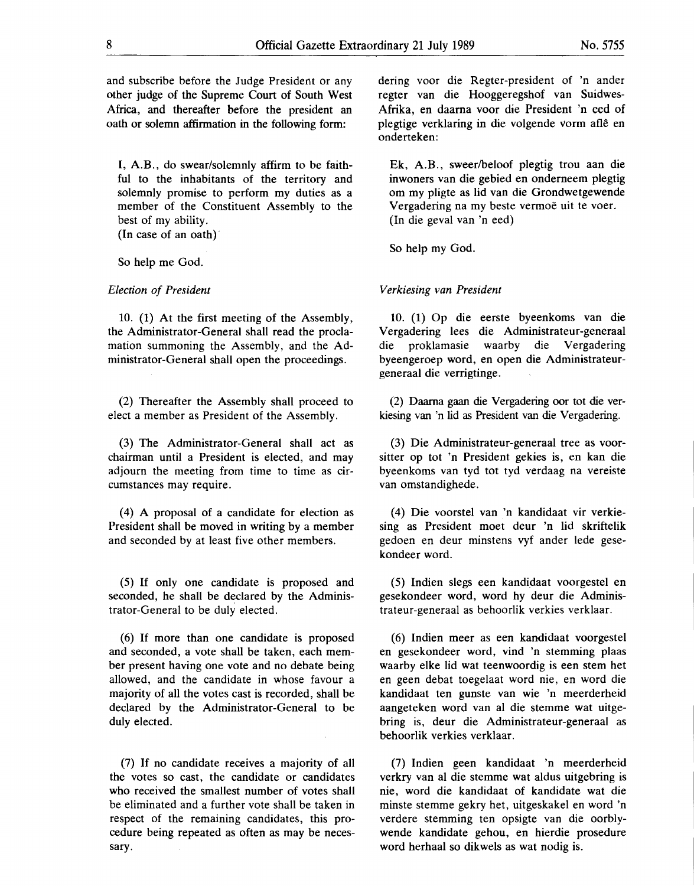and subscribe before the Judge President or any other judge of the Supreme Court of South West Africa, and thereafter before the president an oath or solemn affirmation in the following form:

I, A.B., do swear/solemnly affirm to be faithful to the inhabitants of the territory and solemnly promise to perform my duties as a member of the Constituent Assembly to the best of my ability. (In case of an oath)'

So help me God.

#### *Election of President*

10. (1) At the first meeting of the Assembly, the Administrator-General shall read the proclamation summoning the Assembly, and the Administrator-General shall open the proceedings.

(2) Thereafter the Assembly shall proceed to elect a member as President of the Assembly.

(3) The Administrator-General shall act as chairman until a President is elected, and may adjourn the meeting from time to time as circumstances may require.

(4) A proposal of a candidate for election as President shall be moved in writing by a member and seconded by at least five other members.

(5) If only one candidate is proposed and seconded, he shall be declared by the Administrator-General to be duly elected.

(6) If more than one candidate is proposed and seconded, a vote shall be taken, each member present having one vote and no debate being allowed, and the candidate in whose favour a majority of all the votes cast is recorded, shall be declared by the Administrator-General to be duly elected.

(7) If no candidate receives a majority of all the votes so cast, the candidate or candidates who received the smallest number of votes shall be eliminated and a further vote shall be taken in respect of the remaining candidates, this procedure being repeated as often as may be necessary.

dering voor die Regter-president of 'n ander regter van die Hooggeregshof van Suidwes-Afrika, en daarna voor die President 'n eed of plegtige verklaring in die volgende vorm aflê en onderteken:

Ek, A.B., sweer/beloof plegtig trou aan die inwoners van die gebied en onderneem plegtig om my pligte as lid van die Grondwetgewende Vergadering na my beste vermoë uit te voer. (In die geval van 'n eed)

So help my God.

#### *Verkiesing van President*

10. (1) Op die eerste byeenkoms van die Vergadering lees die Administrateur-generaal die proklamasie waarby die Vergadering byeengeroep word, en open die Administrateurgeneraal die verrigtinge.

(2) Daama gaan die Vergadering oor tot die verkiesing van 'n lid as President van die Vergadering.

(3) Die Administrateur-generaal tree as voorsitter op tot 'n President gekies is, en kan die byeenkoms van tyd tot tyd verdaag na vereiste van omstandighede.

( 4) Die voorstel van 'n kandidaat vir verkiesing as President moet deur 'n lid skriftelik gedoen en deur minstens vyf ander lede gesekondeer word.

(5) Indien slegs een kandi\_daat voorgestel en gesekondeer word, word by deur die Administrateur-generaal as behoorlik verkies verklaar.

(6) Indien meer as een kandidaat voorgestel en gesekondeer word, vind 'n stemming plaas waarby elke lid wat teenwoordig is een stem bet en geen debat toegelaat word nie, en word die kandidaat ten gunste van wie 'n meerderheid aangeteken word van al die stemme wat uitgebring is, deur die Administrateur-generaal as behoorlik verkies verklaar.

(7) Indien geen kandidaat 'n meerderheid verkry van al die stemme wat aldus uitgebring is nie, word die kandidaat of kandidate wat die minste stemme gekry bet, uitgeskakel en word 'n verdere stemming ten opsigte van die oorblywende kandidate gehou, en hierdie prosedure word herhaal so dikwels as wat nodig is.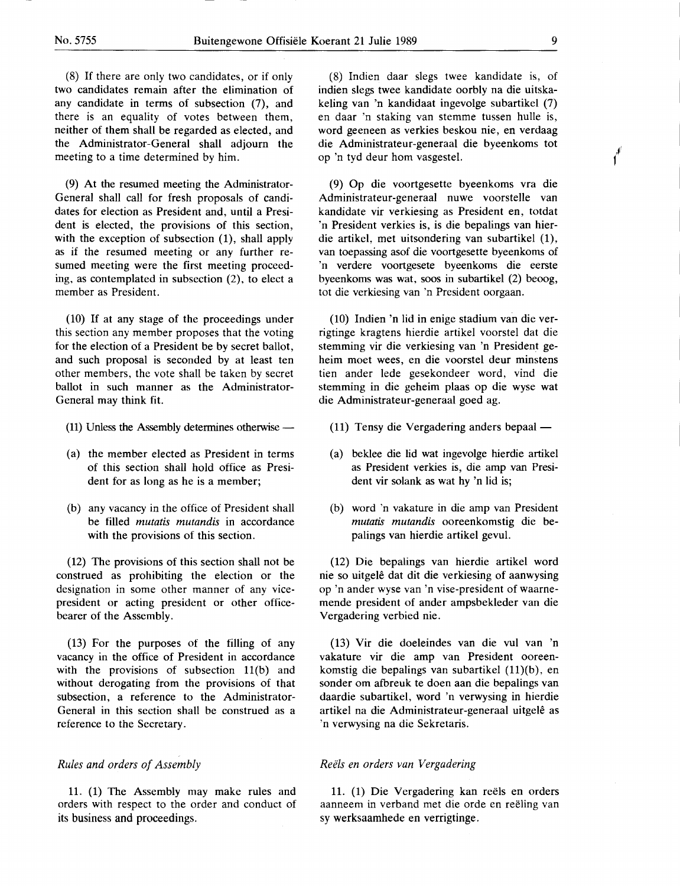(8) If there are only two candidates, or if only two candidates remain after the elimination of any candidate in terms of subsection (7), and there is an equality of votes between them, neither of them shall be regarded as elected, and the Administrator-General shall adjourn the meeting to a time determined by him.

(9) At the resumed meeting the Administrator-General shall call for fresh proposals of candidates for election as President and, until a President is elected, the provisions of this section, with the exception of subsection (1), shall apply as if the resumed meeting or any further resumed meeting were the first meeting proceeding, as contemplated in subsection (2), to elect a member as President.

(10) If at any stage of the proceedings under this section any member proposes that the voting for the election of a President be by secret ballot, and such proposal is seconded by at least ten other members, the vote shall be taken by secret ballot in such manner as the Administrator-General may think fit.

- (11) Unless the Assembly determines otherwise  $-$
- (a) the member elected as President in terms of this section shall hold office as President for as long as he is a member;
- (b) any vacancy in the office of President shall be filled *mutatis mutandis* in accordance with the provisions of this section.

(12) The provisions of this section shall not be construed as prohibiting the election or the designation in some other manner of any vicepresident or acting president or other officebearer of the Assembly.

(13) For the purposes of the filling of any vacancy in the office of President in accordance with the provisions of subsection  $11(b)$  and without derogating from the provisions of that subsection, a reference to the Administrator-General in this section shall be construed as a reference to the Secretary.

# *Rules and orders of Assembly*

11. (1) The Assembly may make rules and orders with respect to the order and conduct of its business and proceedings.

(8) Indien daar slegs twee kandidate is, of indien slegs twee kandidate oorbly na die uitskakeling van 'n kandidaat ingevolge subartikel (7) en daar 'n staking van stemme tussen hulle is, word geeneen as verkies beskou nie, en verdaag die Administrateur-generaal die byeenkoms tot op 'n tyd deur horn vasgestel.

(9) Op die voortgesette byeenkoms vra die Administrateur-generaal nuwe voorstelle van kandidate vir verkiesing as President en, totdat 'n President verkies is, is die bepalings van hierdie artikel, met uitsondering van subartikel (1), van toepassing asof die voortgesette byeenkoms of 'n verdere voortgesete byeenkoms die eerste byeenkoms was wat, soos in subartikel (2) beoog, tot die verkiesing van 'n President oorgaan.

(10) Indien 'n lid in enige stadium van die verrigtinge kragtens hierdie artikel voorstel dat die stemming vir die verkiesing van 'n President geheim moet wees, en die voorstel deur minstens tien ander lede gesekondeer word, vind die stemming in die geheim plaas op die wyse wat die Administrateur-generaal goed ag.

- (11) Tensy die Vergadering anders bepaal —
- (a) beklee die lid wat ingevolge hierdie artikel as President verkies is, die amp van President vir solank as wat hy 'n lid is;
- (b) word 'n vakature in die amp van President *mutatis mutandis* ooreenkomstig die bepalings van hierdie artikel gevul.

(12) Die bepalings van hierdie artikel word nie so uitgele dat dit die verkiesing of aanwysing op 'n ander wyse van 'n vise-president of waarnemende president of ander ampsbekleder van die Vergadering verbied nie.

(13) Vir die doeleindes van die vul van 'n vakature vir die amp van President ooreenkomstig die bepalings van subartikel (11)(b), en sonder om afbreuk te doen aan die bepalings van daardie subartikel, word 'n verwysing in hierdie artikel na die Administrateur-generaal uitgelê as 'n verwysing na die Sekretaris.

# *Reels en orders van Vergadering*

11. (1) Die Vergadering kan reels en orders aanneem in verband met die orde en reëling van sy werksaamhede en verrigtinge.

 $\boldsymbol{f}^{\boldsymbol{f}}$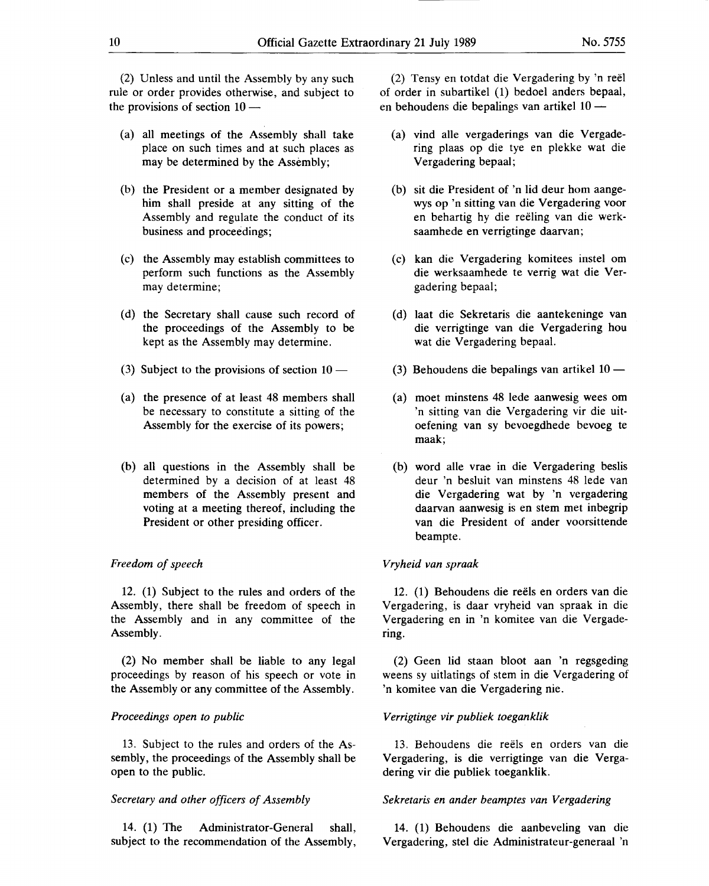(2) Unless and until the Assembly by any such rule or order provides otherwise, and subject to the provisions of section  $10 -$ 

- (a) all meetings of the Assembly shall take place on such times and at such places as may be determined by the Assembly;
- (b) the President or a member designated by him shall preside at any sitting of the Assembly and regulate the conduct of its business and proceedings;
- (c) the Assembly may establish committees to perform such functions as the Assembly may determine;
- ( d) the Secretary shall cause such record of the proceedings of the Assembly to be kept as the Assembly may determine.
- (3) Subject to the provisions of section  $10 -$
- (a) the presence of at least 48 members shall be necessary to constitute a sitting of the Assembly for the exercise of its powers;
- (b) all questions in the Assembly shall be determined by a decision of at least 48 members of the Assembly present and voting at a meeting thereof, including the President or other presiding officer.

## *Freedom of speech*

12. (1) Subject to the rules and orders of the Assembly, there shall be freedom of speech in the Assembly and in any committee of the Assembly.

(2) No member shall be liable to any legal proceedings by reason of his speech or vote in the Assembly or any committee of the Assembly.

## *Proceedings open to public*

13. Subject to the rules and orders of the Assembly, the proceedings of the Assembly shall be open to the public.

#### *Secretary and other officers of Assembly*

14. (1) The Administrator-General shall, subject to the recommendation of the Assembly,

(2) Tensy en totdat die Vergadering by 'n reel of order in subartikel (1) bedoel anders bepaal, en behoudens die bepalings van artikel  $10 -$ 

- (a) vind alle vergaderings van die Vergadering plaas op die tye en plekke wat die Vergadering bepaal;
- (b) sit die President of 'n lid deur horn aangewys op 'n sitting van die Vergadering voor en behartig by die reeling van die werksaamhede en verrigtinge daarvan;
- (c) kan die Vergadering komitees instel om die werksaamhede te verrig wat die Vergadering bepaal;
- (d) laat die Sekretaris die aantekeninge van die verrigtinge van die Vergadering hou wat die Vergadering bepaal.
- (3) Behoudens die bepalings van artikel  $10 -$
- (a) moet minstens 48 lede aanwesig wees om 'n sitting van die Vergadering vir die uitoefening van sy bevoegdhede bevoeg te maak;
- (b) word alle vrae in die Vergadering beslis deur 'n besluit van minstens 48 lede van die Vergadering wat by 'n vergadering daarvan aanwesig is en stem met inbegrip van die President of ander voorsittende beampte.

#### *Vryheid van spraak*

12. (1) Behoudens die reels en orders van die Vergadering, is daar vryheid van spraak in die Vergadering en in 'n komitee van die Vergadering.

(2) Geen lid staan bloot aan 'n regsgeding weens sy uitlatings of stem in die Vergadering of 'n komitee van die Vergadering nie.

## *Verrigtinge vir publiek toeganklik*

13. Behoudens die reels en orders van die Vergadering, is die verrigtinge van die Vergadering vir die publiek toeganklik.

#### *Sekretaris en ander beamptes van Vergadering*

14. (1) Behoudens die aanbeveling van die Vergadering, stel die Administrateur-generaal 'n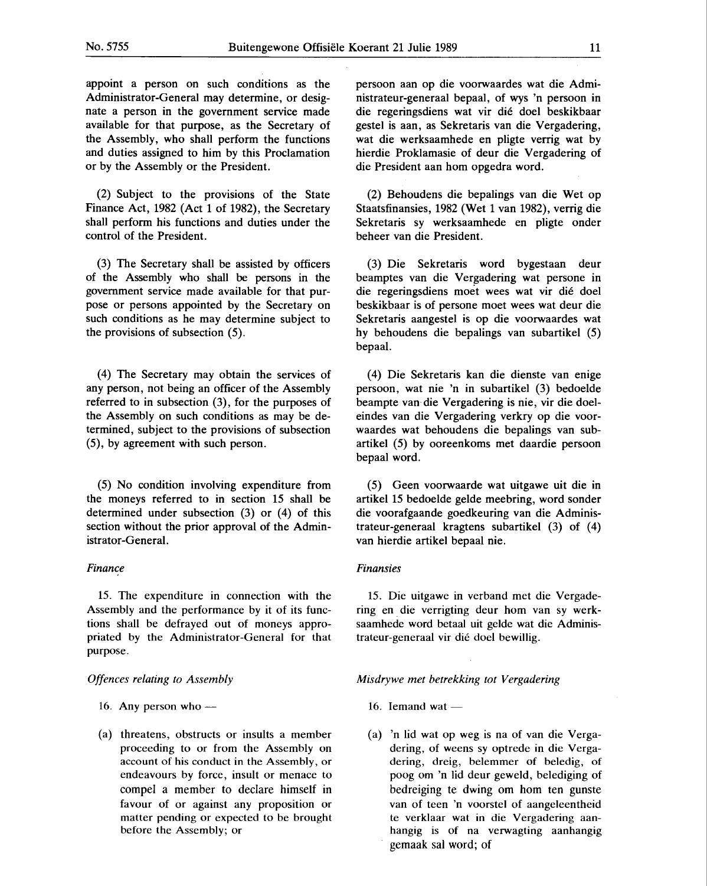appoint a person on such conditions as the Administrator-General may determine, or designate a person in the government service made available for that purpose, as the Secretary of the Assembly, who shall perform the functions and duties assigned to him by this Proclamation or by the Assembly or the President.

(2) Subject to the provisions of the State Finance Act, 1982 (Act 1 of 1982), the Secretary shall perform his functions and duties under the control of the President.

(3) The Secretary shall be assisted by officers of the Assembly who shall be persons in the government service made available for that purpose or persons appointed by the Secretary on such conditions as he may determine subject to the provisions of subsection  $(5)$ .

(4) The Secretary may obtain the services of any person, not being an officer of the Assembly referred to in subsection (3), for the purposes of the Assembly on such conditions as may be determined, subject to the provisions of subsection (5), by agreement with such person.

(5) No condition involving expenditure from the moneys referred to in section 15 shall be determined under subsection (3) or (4) of this section without the prior approval of the Administrator-General.

## *Finance*

15. The expenditure in connection with the Assembly and the performance by it of its functions shall be defrayed out of moneys appropriated by the Administrator-General for that purpose.

#### *Offences relating to Assembly*

- 16. Any person who  $-$
- (a) threatens, obstructs or insults a member proceeding to or from the Assembly on account of his conduct in the Assembly, or endeavours by force, insult or menace to compel a member to declare himself in favour of or against any proposition or matter pending or expected to be brought before the Assembly; or

persoon aan op die voorwaardes wat die Administrateur-generaal bepaal, of wys 'n persoon in die regeringsdiens wat vir die doel beskikbaar gestel is aan, as Sekretaris van die Vergadering, wat die werksaamhede en pligte verrig wat by hierdie Proklamasie of deur die Vergadering of die President aan hom opgedra word.

(2) Behoudens die bepalings van die Wet op Staatsfinansies, 1982 (Wet 1 van 1982), verrig die Sekretaris sy werksaamhede en pligte onder beheer van die President.

(3) Die Sekretaris word bygestaan deur beamptes van die Vergadering wat persone in die regeringsdiens moet wees wat vir die doel beskikbaar is of persone moet wees wat deur die Sekretaris aangestel is op die voorwaardes wat hy behoudens die bepalings van subartikel (5) bepaal.

(4) Die Sekretaris kan die dienste van enige persoon, wat nie 'n in subartikel (3) bedoelde beampte van die Vergadering is nie, vir die doeleindes van die Vergadering verkry op die voorwaardes wat behoudens die bepalings van subartikel (5) by ooreenkoms met daardie persoon bepaal word.

(5) Geen voorwaarde wat uitgawe uit die in artikel 15 bedoelde gelde meebring, word sonder die voorafgaande goedkeuring van die Administrateur-generaal kragtens subartikel (3) of (4) van hierdie artikel bepaal nie.

## *Finansies*

15. Die uitgawe in verband met die Vergadering en die verrigting deur hom van sy werksaamhede word betaal uit gelde wat die Administrateur-generaal vir die doel bewillig.

#### *Misdrywe met betrekking tot Vergadering*

- 16. Iemand wat  $-$
- (a) 'n lid wat op weg is na of van die Vergadering, of weens sy optrede in die Vergadering, dreig, belemmer of beledig, of poog om 'n lid deur geweld, belediging of bedreiging te dwing om hom ten gunste van of teen 'n voorstel of aangeleentheid te verklaar wat in die Vergadering aanhangig is of na verwagting aanhangig gemaak sal word; of